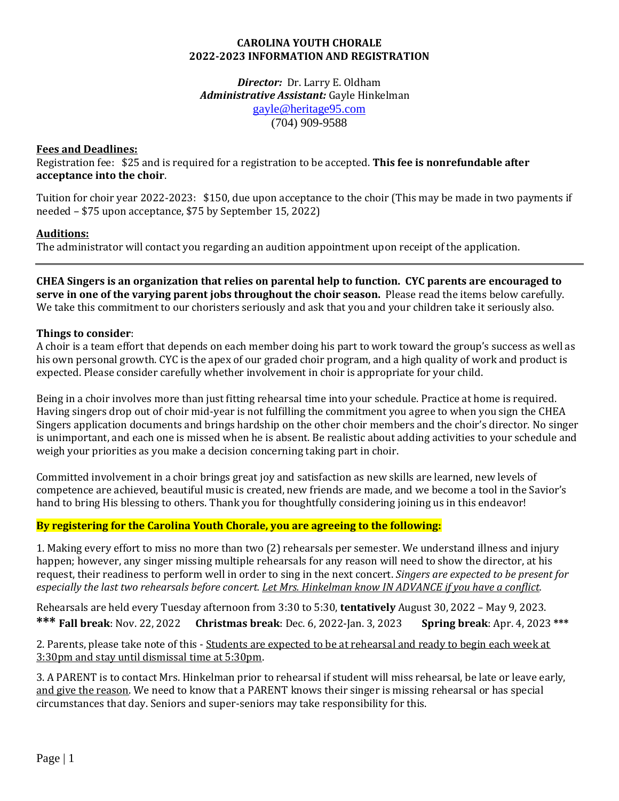## **CAROLINA YOUTH CHORALE 2022-2023 INFORMATION AND REGISTRATION**

*Director:*Dr. Larry E. Oldham *Administrative Assistant:* Gayle Hinkelman [gayle@heritage95.com](mailto:gayle@heritage95.com) (704) 909-9588

## **Fees and Deadlines:**

Registration fee: \$25 and is required for a registration to be accepted. **This fee is nonrefundable after acceptance into the choir**.

Tuition for choir year 2022-2023: \$150, due upon acceptance to the choir (This may be made in two payments if needed – \$75 upon acceptance, \$75 by September 15, 2022)

# **Auditions:**

The administrator will contact you regarding an audition appointment upon receipt of the application.

**CHEA Singers is an organization that relies on parental help to function. CYC parents are encouraged to serve in one of the varying parent jobs throughout the choir season.** Please read the items below carefully. We take this commitment to our choristers seriously and ask that you and your children take it seriously also.

## **Things to consider**:

A choir is a team effort that depends on each member doing his part to work toward the group's success as well as his own personal growth. CYC is the apex of our graded choir program, and a high quality of work and product is expected. Please consider carefully whether involvement in choir is appropriate for your child.

Being in a choir involves more than just fitting rehearsal time into your schedule. Practice at home is required. Having singers drop out of choir mid-year is not fulfilling the commitment you agree to when you sign the CHEA Singers application documents and brings hardship on the other choir members and the choir's director. No singer is unimportant, and each one is missed when he is absent. Be realistic about adding activities to your schedule and weigh your priorities as you make a decision concerning taking part in choir.

Committed involvement in a choir brings great joy and satisfaction as new skills are learned, new levels of competence are achieved, beautiful music is created, new friends are made, and we become a tool in the Savior's hand to bring His blessing to others. Thank you for thoughtfully considering joining us in this endeavor!

# **By registering for the Carolina Youth Chorale, you are agreeing to the following:**

1. Making every effort to miss no more than two (2) rehearsals per semester. We understand illness and injury happen; however, any singer missing multiple rehearsals for any reason will need to show the director, at his request, their readiness to perform well in order to sing in the next concert. *Singers are expected to be present for especially the last two rehearsals before concert. Let Mrs. Hinkelman know IN ADVANCE if you have a conflict.*

Rehearsals are held every Tuesday afternoon from 3:30 to 5:30, **tentatively** August 30, 2022 – May 9, 2023. **\*\*\* Fall break**: Nov. 22, 2022 **Christmas break**: Dec. 6, 2022-Jan. 3, 2023 **Spring break**: Apr. 4, 2023 **\*\*\***

2. Parents, please take note of this - Students are expected to be at rehearsal and ready to begin each week at 3:30pm and stay until dismissal time at 5:30pm.

3. A PARENT is to contact Mrs. Hinkelman prior to rehearsal if student will miss rehearsal, be late or leave early, and give the reason. We need to know that a PARENT knows their singer is missing rehearsal or has special circumstances that day. Seniors and super-seniors may take responsibility for this.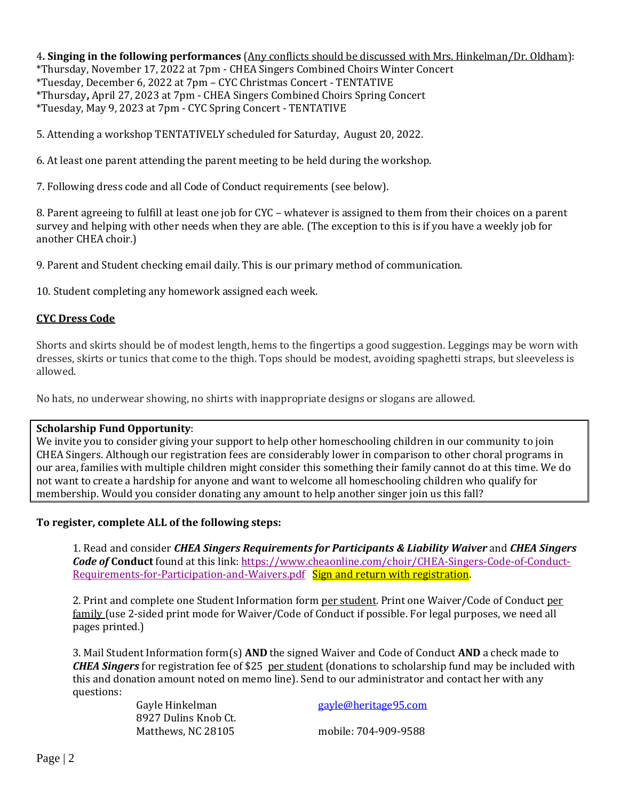4**. Singing in the following performances** (Any conflicts should be discussed with Mrs. Hinkelman/Dr. Oldham): \*Thursday, November 17, 2022 at 7pm - CHEA Singers Combined Choirs Winter Concert \*Tuesday, December 6, 2022 at 7pm – CYC Christmas Concert - TENTATIVE \*Thursday**,** April 27, 2023 at 7pm - CHEA Singers Combined Choirs Spring Concert \*Tuesday, May 9, 2023 at 7pm - CYC Spring Concert - TENTATIVE

5. Attending a workshop TENTATIVELY scheduled for Saturday, August 20, 2022.

6. At least one parent attending the parent meeting to be held during the workshop.

7. Following dress code and all Code of Conduct requirements (see below).

8. Parent agreeing to fulfill at least one job for CYC – whatever is assigned to them from their choices on a parent survey and helping with other needs when they are able. (The exception to this is if you have a weekly job for another CHEA choir.)

9. Parent and Student checking email daily. This is our primary method of communication.

10. Student completing any homework assigned each week.

#### **[CYC Dress Code](http://chea-cyc.org/wp-content/uploads/2013/04/CYCdresscode2013-14.pdf)**

Shorts and skirts should be of modest length, hems to the fingertips a good suggestion. Leggings may be worn with dresses, skirts or tunics that come to the thigh. Tops should be modest, avoiding spaghetti straps, but sleeveless is allowed.

No hats, no underwear showing, no shirts with inappropriate designs or slogans are allowed.

#### **Scholarship Fund Opportunity**:

We invite you to consider giving your support to help other homeschooling children in our community to join CHEA Singers. Although our registration fees are considerably lower in comparison to other choral programs in our area, families with multiple children might consider this something their family cannot do at this time. We do not want to create a hardship for anyone and want to welcome all homeschooling children who qualify for membership. Would you consider donating any amount to help another singer join us this fall?

#### **To register, complete ALL of the following steps:**

1. Read and consider *CHEA Singers Requirements for Participants & Liability Waiver* and *CHEA Singers Code of* **Conduct** found at this link[: https://www.cheaonline.com/choir/CHEA-Singers-Code-of-Conduct-](https://www.cheaonline.com/choir/CHEA-Singers-Code-of-Conduct-Requirements-for-Participation-and-Waivers.pdf)[Requirements-for-Participation-and-Waivers.pdf](https://www.cheaonline.com/choir/CHEA-Singers-Code-of-Conduct-Requirements-for-Participation-and-Waivers.pdf) Sign and return with registration.

2. Print and complete one Student Information form per student. Print one Waiver/Code of Conduct per family (use 2-sided print mode for Waiver/Code of Conduct if possible. For legal purposes, we need all pages printed.)

3. Mail Student Information form(s) **AND** the signed Waiver and Code of Conduct **AND** a check made to *CHEA Singers* for registration fee of \$25 per student (donations to scholarship fund may be included with this and donation amount noted on memo line). Send to our administrator and contact her with any questions:

8927 Dulins Knob Ct.

Gayle Hinkelman [gayle@heritage95.com](mailto:gayle@heritage95.com)

Matthews, NC 28105 mobile: 704-909-9588